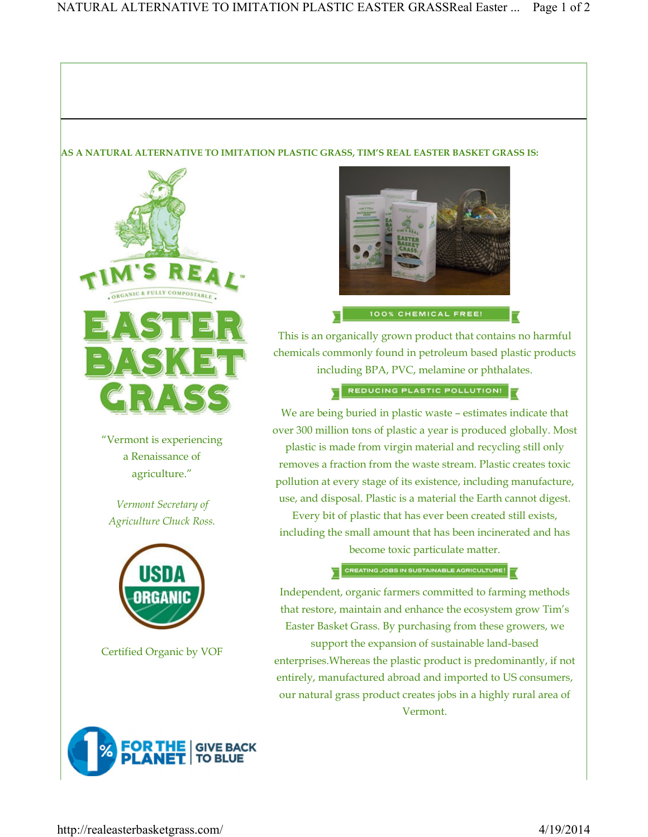## AS A NATURAL ALTERNATIVE TO IMITATION PLASTIC GRASS, TIM'S REAL EASTER BASKET GRASS IS:



"Vermont is experiencing a Renaissance of agriculture."

Vermont Secretary of Agriculture Chuck Ross.



Certified Organic by VOF





100% CHEMICAL FREE!

This is an organically grown product that contains no harmful chemicals commonly found in petroleum based plastic products including BPA, PVC, melamine or phthalates.

REDUCING PLASTIC POLLUTION!

We are being buried in plastic waste – estimates indicate that over 300 million tons of plastic a year is produced globally. Most plastic is made from virgin material and recycling still only removes a fraction from the waste stream. Plastic creates toxic pollution at every stage of its existence, including manufacture, use, and disposal. Plastic is a material the Earth cannot digest.

Every bit of plastic that has ever been created still exists, including the small amount that has been incinerated and has become toxic particulate matter.

CREATING JOBS IN SUSTAINABLE AGRICULTURE!

Independent, organic farmers committed to farming methods that restore, maintain and enhance the ecosystem grow Tim's Easter Basket Grass. By purchasing from these growers, we

support the expansion of sustainable land-based enterprises.Whereas the plastic product is predominantly, if not entirely, manufactured abroad and imported to US consumers, our natural grass product creates jobs in a highly rural area of Vermont.